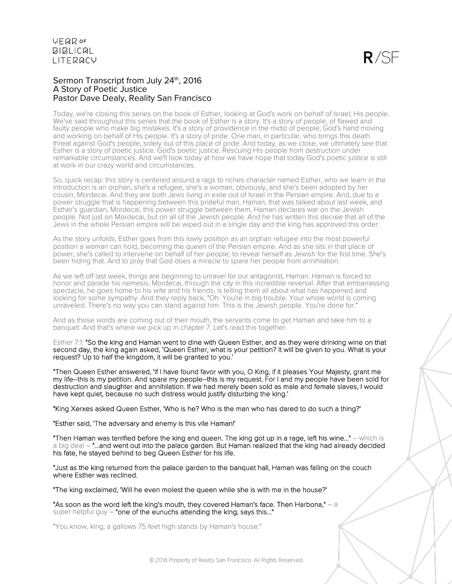### Sermon Transcript from July 24<sup>th</sup>, 2016 A Story of Poetic Justice Pastor Dave Dealy, Reality San Francisco

Today, we're closing this series on the book of Esther, looking at God's work on behalf of Israel; His people. We've said throughout this series that the book of Esther is a story. It's a story of people, of flawed and faulty people who make big mistakes. It's a story of providence in the midst of people; God's hand moving and working on behalf of His people. It's a story of pride. One man, in particular, who brings this death threat against God's people, solely out of this place of pride. And today, as we close, we ultimately see that Esther is a story of poetic justice. God's poetic justice. Rescuing His people from destruction under remarkable circumstances. And we'll look today at how we have hope that today God's poetic justice is still at work in our crazy world and circumstances.

So, quick recap: this story is centered around a rags to riches character named Esther, who we learn in the introduction is an orphan, she's a refugee, she's a woman, obviously, and she's been adopted by her cousin, Mordecai. And they are both Jews living in exile out of Israel in the Persian empire. And, due to a power struggle that is happening between this prideful man, Haman, that was talked about last week, and Esther's guardian, Mordecai, this power struggle between them, Haman declares war on the Jewish people. Not just on Mordecai, but on all of the Jewish people. And he has written this decree that all of the Jews in the whole Persian empire will be wiped out in a single day and the king has approved this order.

As the story unfolds, Esther goes from this lowly position as an orphan refugee into the most powerful position a woman can hold, becoming the queen of the Persian empire. And as she sits in that place of power, she's called to intervene on behalf of her people; to reveal herself as Jewish for the first time. She's been hiding that. And to pray that God does a miracle to spare her people from annihilation.

As we left off last week, things are beginning to unravel for our antagonist, Haman. Haman is forced to honor and parade his nemesis, Mordecai, through the city in this incredible reversal. After that embarrassing spectacle, he goes home to his wife and his friends, is telling them all about what has happened and looking for some sympathy. And they reply back, "Oh. You're in big trouble. Your whole world is coming unraveled. There's no way you can stand against him. This is the Jewish people. You're done for."

And as those words are coming out of their mouth, the servants come to get Haman and take him to a banquet. And that's where we pick up in chapter 7. Let's read this together.

Esther 7:1: "So the king and Haman went to dine with Queen Esther, and as they were drinking wine on that second day, the king again asked, 'Queen Esther, what is your petition? It will be given to you. What is your request? Up to half the kingdom, it will be granted to you.'

"Then Queen Esther answered, 'If I have found favor with you, O King, if it pleases Your Majesty, grant me my life–this is my petition. And spare my people–this is my request. For I and my people have been sold for destruction and slaughter and annihilation. If we had merely been sold as male and female slaves, I would have kept quiet, because no such distress would justify disturbing the king.'

"King Xerxes asked Queen Esther, 'Who is he? Who is the man who has dared to do such a thing?'

"Esther said, 'The adversary and enemy is this vile Haman!'

"Then Haman was terrified before the king and queen. The king got up in a rage, left his wine..." – which is a big deal – "...and went out into the palace garden. But Haman realized that the king had already decided his fate, he stayed behind to beg Queen Esther for his life.

"Just as the king returned from the palace garden to the banquet hall, Haman was falling on the couch where Esther was reclined.

"The king exclaimed, 'Will he even molest the queen while she is with me in the house?'

"As soon as the word left the king's mouth, they covered Haman's face. Then Harbona,"  $-$  a super helpful guy  $-$  "one of the eunuchs attending the king, says this..."

"You know, king, a gallows 75 feet high stands by Haman's house."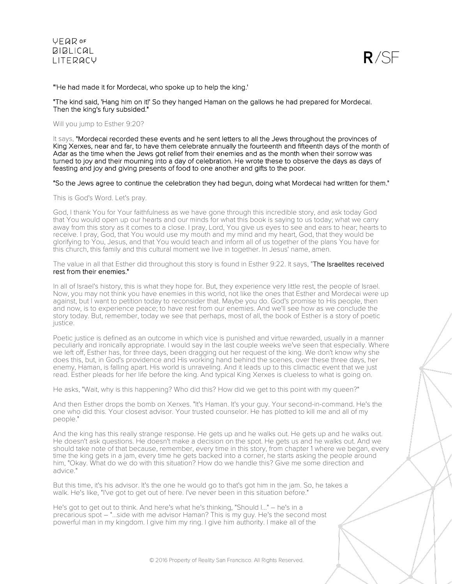



"'He had made it for Mordecai, who spoke up to help the king.'

"The kind said, 'Hang him on it!' So they hanged Haman on the gallows he had prepared for Mordecai. Then the king's fury subsided."

Will you jump to Esther 9:20?

It says, "Mordecai recorded these events and he sent letters to all the Jews throughout the provinces of King Xerxes, near and far, to have them celebrate annually the fourteenth and fifteenth days of the month of Adar as the time when the Jews got relief from their enemies and as the month when their sorrow was turned to joy and their mourning into a day of celebration. He wrote these to observe the days as days of feasting and joy and giving presents of food to one another and gifts to the poor.

#### "So the Jews agree to continue the celebration they had begun, doing what Mordecai had written for them."

This is God's Word. Let's pray.

God, I thank You for Your faithfulness as we have gone through this incredible story, and ask today God that You would open up our hearts and our minds for what this book is saying to us today; what we carry away from this story as it comes to a close. I pray, Lord, You give us eyes to see and ears to hear; hearts to receive. I pray, God, that You would use my mouth and my mind and my heart, God, that they would be glorifying to You, Jesus, and that You would teach and inform all of us together of the plans You have for this church, this family and this cultural moment we live in together. In Jesus' name, amen.

The value in all that Esther did throughout this story is found in Esther 9:22. It says, "The Israelites received rest from their enemies."

In all of Israel's history, this is what they hope for. But, they experience very little rest, the people of Israel. Now, you may not think you have enemies in this world, not like the ones that Esther and Mordecai were up against, but I want to petition today to reconsider that. Maybe you do. God's promise to His people, then and now, is to experience peace; to have rest from our enemies. And we'll see how as we conclude the story today. But, remember, today we see that perhaps, most of all, the book of Esther is a story of poetic justice.

Poetic justice is defined as an outcome in which vice is punished and virtue rewarded, usually in a manner peculiarly and ironically appropriate. I would say in the last couple weeks we've seen that especially. Where we left off, Esther has, for three days, been dragging out her request of the king. We don't know why she does this, but, in God's providence and His working hand behind the scenes, over these three days, her enemy, Haman, is falling apart. His world is unraveling. And it leads up to this climactic event that we just read. Esther pleads for her life before the king. And typical King Xerxes is clueless to what is going on.

He asks, "Wait, why is this happening? Who did this? How did we get to this point with my queen?"

And then Esther drops the bomb on Xerxes. "It's Haman. It's your guy. Your second-in-command. He's the one who did this. Your closest advisor. Your trusted counselor. He has plotted to kill me and all of my people."

And the king has this really strange response. He gets up and he walks out. He gets up and he walks out. He doesn't ask questions. He doesn't make a decision on the spot. He gets us and he walks out. And we should take note of that because, remember, every time in this story, from chapter 1 where we began, every time the king gets in a jam, every time he gets backed into a corner, he starts asking the people around him, "Okay. What do we do with this situation? How do we handle this? Give me some direction and advice."

But this time, it's his advisor. It's the one he would go to that's got him in the jam. So, he takes a walk. He's like, "I've got to get out of here. I've never been in this situation before."

He's got to get out to think. And here's what he's thinking, "Should I..." – he's in a precarious spot – "...side with me advisor Haman? This is my guy. He's the second most powerful man in my kingdom. I give him my ring. I give him authority. I make all of the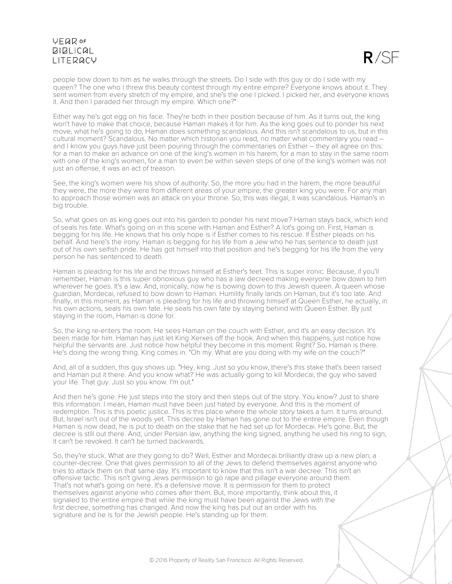### **VFQR OF BIBLICAL** LITERACY

 $R/SE$ 

people bow down to him as he walks through the streets. Do I side with this guy or do I side with my queen? The one who I threw this beauty contest through my entire empire? Everyone knows about it. They sent women from every stretch of my empire, and she's the one I picked. I picked her, and everyone knows it. And then I paraded her through my empire. Which one?"

Either way he's got egg on his face. They're both in their position because of him. As it turns out, the king won't have to make that choice, because Haman makes it for him. As the king goes out to ponder his next move, what he's going to do, Haman does something scandalous. And this isn't scandalous to us, but in this cultural moment? Scandalous. No matter which historian you read, no matter what commentary you read – and I know you guys have just been pouring through the commentaries on Esther – they all agree on this: for a man to make an advance on one of the king's women in his harem, for a man to stay in the same room with one of the king's women, for a man to even be within seven steps of one of the king's women was not just an offense, it was an act of treason.

See, the king's women were his show of authority. So, the more you had in the harem, the more beautiful they were, the more they were from different areas of your empire, the greater king you were. For any man to approach those women was an attack on your throne. So, this was illegal, it was scandalous. Haman's in big trouble.

So, what goes on as king goes out into his garden to ponder his next move? Haman stays back, which kind of seals his fate. What's going on in this scene with Haman and Esther? A lot's going on. First, Haman is begging for his life. He knows that his only hope is if Esther comes to his rescue. If Esther pleads on his behalf. And here's the irony: Haman is begging for his life from a Jew who he has sentence to death just out of his own selfish pride. He has got himself into that position and he's begging for his life from the very person he has sentenced to death.

Haman is pleading for his life and he throws himself at Esther's feet. This is super ironic. Because, if you'll remember, Haman is this super obnoxious guy who has a law decreed making everyone bow down to him wherever he goes. It's a law. And, ironically, now he is bowing down to this Jewish queen. A queen whose guardian, Mordecai, refused to bow down to Haman. Humility finally lands on Haman, but it's too late. And finally, in this moment, as Haman is pleading for his life and throwing himself at Queen Esther, he actually, in his own actions, seals his own fate. He seals his own fate by staying behind with Queen Esther. By just staying in the room, Haman is done for.

So, the king re-enters the room. He sees Haman on the couch with Esther, and it's an easy decision. It's been made for him. Haman has just let King Xerxes off the hook. And when this happens, just notice how helpful the servants are. Just notice how helpful they become in this moment. Right? So, Haman is there. He's doing the wrong thing. King comes in. "Oh my. What are you doing with my wife on the couch?"

And, all of a sudden, this guy shows up. "Hey, king. Just so you know, there's this stake that's been raised and Haman put it there. And you know what? He was actually going to kill Mordecai, the guy who saved your life. That guy. Just so you know. I'm out."

And then he's gone. He just steps into the story and then steps out of the story. You know? Just to share this information. I mean, Haman must have been just hated by everyone. And this is the moment of redemption. This is this poetic justice. This is this place where the whole story takes a turn. It turns around. But, Israel isn't out of the woods yet. This decree by Haman has gone out to the entire empire. Even though Haman is now dead, he is put to death on the stake that he had set up for Mordecai. He's gone. But, the decree is still out there. And, under Persian law, anything the king signed, anything he used his ring to sign, it can't be revoked. It can't be turned backwards.

So, they're stuck. What are they going to do? Well, Esther and Mordecai brilliantly draw up a new plan; a counter-decree. One that gives permission to all of the Jews to defend themselves against anyone who tries to attack them on that same day. It's important to know that this isn't a war decree. This isn't an offensive tactic. This isn't giving Jews permission to go rape and pillage everyone around them. That's not what's going on here. It's a defensive move. It is permission for them to protect themselves against anyone who comes after them. But, more importantly, think about this, it signaled to the entire empire that while the king must have been against the Jews with the first decree, something has changed. And now the king has put out an order with his signature and he is for the Jewish people. He's standing up for them.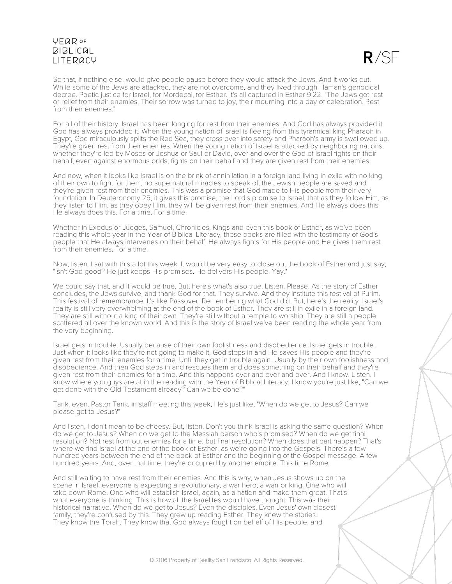### **VFQR OF BIBLICAL** LITERACY

So that, if nothing else, would give people pause before they would attack the Jews. And it works out. While some of the Jews are attacked, they are not overcome, and they lived through Haman's genocidal decree. Poetic justice for Israel, for Mordecai, for Esther. It's all captured in Esther 9:22. "The Jews got rest or relief from their enemies. Their sorrow was turned to joy, their mourning into a day of celebration. Rest from their enemies."

For all of their history, Israel has been longing for rest from their enemies. And God has always provided it. God has always provided it. When the young nation of Israel is fleeing from this tyrannical king Pharaoh in Egypt, God miraculously splits the Red Sea, they cross over into safety and Pharaoh's army is swallowed up. They're given rest from their enemies. When the young nation of Israel is attacked by neighboring nations, whether they're led by Moses or Joshua or Saul or David, over and over the God of Israel fights on their behalf, even against enormous odds, fights on their behalf and they are given rest from their enemies.

And now, when it looks like Israel is on the brink of annihilation in a foreign land living in exile with no king of their own to fight for them, no supernatural miracles to speak of, the Jewish people are saved and they're given rest from their enemies. This was a promise that God made to His people from their very foundation. In Deuteronomy 25, it gives this promise, the Lord's promise to Israel, that as they follow Him, as they listen to Him, as they obey Him, they will be given rest from their enemies. And He always does this. He always does this. For a time. For a time.

Whether in Exodus or Judges, Samuel, Chronicles, Kings and even this book of Esther, as we've been reading this whole year in the Year of Biblical Literacy, these books are filled with the testimony of God's people that He always intervenes on their behalf. He always fights for His people and He gives them rest from their enemies. For a time.

Now, listen. I sat with this a lot this week. It would be very easy to close out the book of Esther and just say, "Isn't God good? He just keeps His promises. He delivers His people. Yay."

We could say that, and it would be true. But, here's what's also true. Listen. Please. As the story of Esther concludes, the Jews survive, and thank God for that. They survive. And they institute this festival of Purim. This festival of remembrance. It's like Passover. Remembering what God did. But, here's the reality: Israel's reality is still very overwhelming at the end of the book of Esther. They are still in exile in a foreign land. They are still without a king of their own. They're still without a temple to worship. They are still a people scattered all over the known world. And this is the story of Israel we've been reading the whole year from the very beginning.

Israel gets in trouble. Usually because of their own foolishness and disobedience. Israel gets in trouble. Just when it looks like they're not going to make it, God steps in and He saves His people and they're given rest from their enemies for a time. Until they get in trouble again. Usually by their own foolishness and disobedience. And then God steps in and rescues them and does something on their behalf and they're given rest from their enemies for a time. And this happens over and over and over. And I know. Listen. I know where you guys are at in the reading with the Year of Biblical Literacy. I know you're just like, "Can we get done with the Old Testament already? Can we be done?"

Tarik, even. Pastor Tarik, in staff meeting this week, He's just like, "When do we get to Jesus? Can we please get to Jesus?"

And listen, I don't mean to be cheesy. But, listen. Don't you think Israel is asking the same question? When do we get to Jesus? When do we get to the Messiah person who's promised? When do we get final resolution? Not rest from out enemies for a time, but final resolution? When does that part happen? That's where we find Israel at the end of the book of Esther; as we're going into the Gospels. There's a few hundred years between the end of the book of Esther and the beginning of the Gospel message. A few hundred years. And, over that time, they're occupied by another empire. This time Rome.

And still waiting to have rest from their enemies. And this is why, when Jesus shows up on the scene in Israel, everyone is expecting a revolutionary; a war hero; a warrior king. One who will take down Rome. One who will establish Israel, again, as a nation and make them great. That's what everyone is thinking. This is how all the Israelites would have thought. This was their historical narrative. When do we get to Jesus? Even the disciples. Even Jesus' own closest family, they're confused by this. They grew up reading Esther. They knew the stories. They know the Torah. They know that God always fought on behalf of His people, and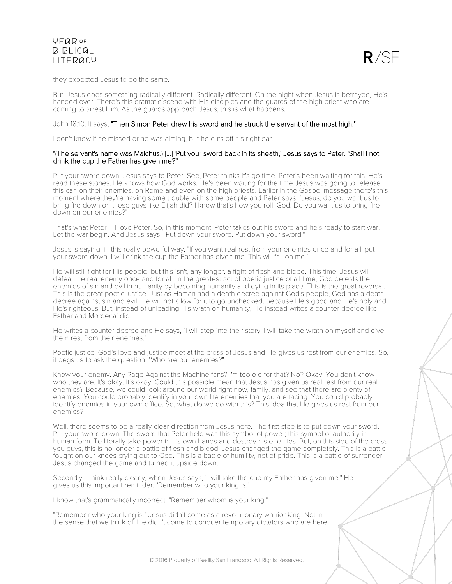

they expected Jesus to do the same.

But, Jesus does something radically different. Radically different. On the night when Jesus is betrayed, He's handed over. There's this dramatic scene with His disciples and the guards of the high priest who are coming to arrest Him. As the guards approach Jesus, this is what happens.

### John 18:10. It says, "Then Simon Peter drew his sword and he struck the servant of the most high."

I don't know if he missed or he was aiming, but he cuts off his right ear.

### "(The servant's name was Malchus.) [...] 'Put your sword back in its sheath,' Jesus says to Peter. 'Shall I not drink the cup the Father has given me?'"

Put your sword down, Jesus says to Peter. See, Peter thinks it's go time. Peter's been waiting for this. He's read these stories. He knows how God works. He's been waiting for the time Jesus was going to release this can on their enemies, on Rome and even on the high priests. Earlier in the Gospel message there's this moment where they're having some trouble with some people and Peter says, "Jesus, do you want us to bring fire down on these guys like Elijah did? I know that's how you roll, God. Do you want us to bring fire down on our enemies?"

That's what Peter – I love Peter. So, in this moment, Peter takes out his sword and he's ready to start war. Let the war begin. And Jesus says, "Put down your sword. Put down your sword."

Jesus is saying, in this really powerful way, "If you want real rest from your enemies once and for all, put your sword down. I will drink the cup the Father has given me. This will fall on me."

He will still fight for His people, but this isn't, any longer, a fight of flesh and blood. This time, Jesus will defeat the real enemy once and for all. In the greatest act of poetic justice of all time, God defeats the enemies of sin and evil in humanity by becoming humanity and dying in its place. This is the great reversal. This is the great poetic justice. Just as Haman had a death decree against God's people, God has a death decree against sin and evil. He will not allow for it to go unchecked, because He's good and He's holy and He's righteous. But, instead of unloading His wrath on humanity, He instead writes a counter decree like Esther and Mordecai did.

He writes a counter decree and He says, "I will step into their story. I will take the wrath on myself and give them rest from their enemies."

Poetic justice. God's love and justice meet at the cross of Jesus and He gives us rest from our enemies. So, it begs us to ask the question: "Who are our enemies?"

Know your enemy. Any Rage Against the Machine fans? I'm too old for that? No? Okay. You don't know who they are. It's okay. It's okay. Could this possible mean that Jesus has given us real rest from our real enemies? Because, we could look around our world right now, family, and see that there are plenty of enemies. You could probably identify in your own life enemies that you are facing. You could probably identify enemies in your own office. So, what do we do with this? This idea that He gives us rest from our enemies?

Well, there seems to be a really clear direction from Jesus here. The first step is to put down your sword. Put your sword down. The sword that Peter held was this symbol of power; this symbol of authority in human form. To literally take power in his own hands and destroy his enemies. But, on this side of the cross, you guys, this is no longer a battle of flesh and blood. Jesus changed the game completely. This is a battle fought on our knees crying out to God. This is a battle of humility, not of pride. This is a battle of surrender. Jesus changed the game and turned it upside down.

Secondly, I think really clearly, when Jesus says, "I will take the cup my Father has given me," He gives us this important reminder: "Remember who your king is."

I know that's grammatically incorrect. "Remember whom is your king."

"Remember who your king is." Jesus didn't come as a revolutionary warrior king. Not in the sense that we think of. He didn't come to conquer temporary dictators who are here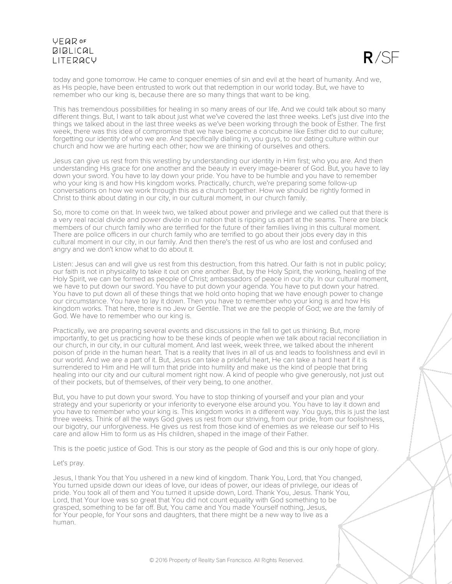# **VFQR OF BIBLICAL LITERACY**



today and gone tomorrow. He came to conquer enemies of sin and evil at the heart of humanity. And we, as His people, have been entrusted to work out that redemption in our world today. But, we have to remember who our king is, because there are so many things that want to be king.

This has tremendous possibilities for healing in so many areas of our life. And we could talk about so many different things. But, I want to talk about just what we've covered the last three weeks. Let's just dive into the things we talked about in the last three weeks as we've been working through the book of Esther. The first week, there was this idea of compromise that we have become a concubine like Esther did to our culture; forgetting our identity of who we are. And specifically dialing in, you guys, to our dating culture within our church and how we are hurting each other; how we are thinking of ourselves and others.

Jesus can give us rest from this wrestling by understanding our identity in Him first; who you are. And then understanding His grace for one another and the beauty in every image-bearer of God. But, you have to lay down your sword. You have to lay down your pride. You have to be humble and you have to remember who your king is and how His kingdom works. Practically, church, we're preparing some follow-up conversations on how we work through this as a church together. How we should be rightly formed in Christ to think about dating in our city, in our cultural moment, in our church family.

So, more to come on that. In week two, we talked about power and privilege and we called out that there is a very real racial divide and power divide in our nation that is ripping us apart at the seams. There are black members of our church family who are terrified for the future of their families living in this cultural moment. There are police officers in our church family who are terrified to go about their jobs every day in this cultural moment in our city, in our family. And then there's the rest of us who are lost and confused and angry and we don't know what to do about it.

Listen: Jesus can and will give us rest from this destruction, from this hatred. Our faith is not in public policy; our faith is not in physicality to take it out on one another. But, by the Holy Spirit, the working, healing of the Holy Spirit, we can be formed as people of Christ; ambassadors of peace in our city. In our cultural moment, we have to put down our sword. You have to put down your agenda. You have to put down your hatred. You have to put down all of these things that we hold onto hoping that we have enough power to change our circumstance. You have to lay it down. Then you have to remember who your king is and how His kingdom works. That here, there is no Jew or Gentile. That we are the people of God; we are the family of God. We have to remember who our king is.

Practically, we are preparing several events and discussions in the fall to get us thinking. But, more importantly, to get us practicing how to be these kinds of people when we talk about racial reconciliation in our church, in our city, in our cultural moment. And last week, week three, we talked about the inherent poison of pride in the human heart. That is a reality that lives in all of us and leads to foolishness and evil in our world. And we are a part of it. But, Jesus can take a prideful heart, He can take a hard heart if it is surrendered to Him and He will turn that pride into humility and make us the kind of people that bring healing into our city and our cultural moment right now. A kind of people who give generously, not just out of their pockets, but of themselves, of their very being, to one another.

But, you have to put down your sword. You have to stop thinking of yourself and your plan and your strategy and your superiority or your inferiority to everyone else around you. You have to lay it down and you have to remember who your king is. This kingdom works in a different way. You guys, this is just the last three weeks. Think of all the ways God gives us rest from our striving, from our pride, from our foolishness, our bigotry, our unforgiveness. He gives us rest from those kind of enemies as we release our self to His care and allow Him to form us as His children, shaped in the image of their Father.

This is the poetic justice of God. This is our story as the people of God and this is our only hope of glory.

#### Let's pray.

Jesus, I thank You that You ushered in a new kind of kingdom. Thank You, Lord, that You changed, You turned upside down our ideas of love, our ideas of power, our ideas of privilege, our ideas of pride. You took all of them and You turned it upside down, Lord. Thank You, Jesus. Thank You, Lord, that Your love was so great that You did not count equality with God something to be grasped, something to be far off. But, You came and You made Yourself nothing, Jesus, for Your people, for Your sons and daughters, that there might be a new way to live as a human.